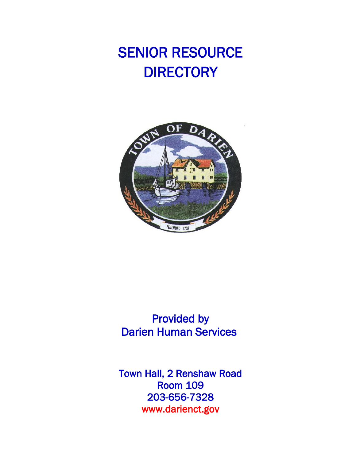# SENIOR RESOURCE **DIRECTORY**



## Provided by Darien Human Services

Town Hall, 2 Renshaw Road Room 109 203-656-7328 www.darienct.gov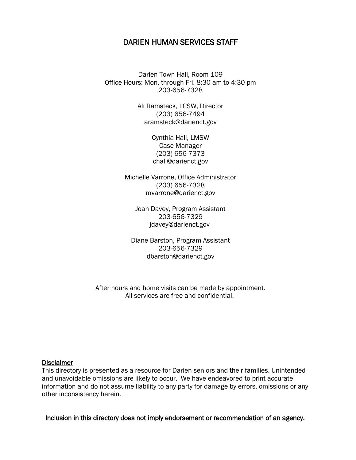#### DARIEN HUMAN SERVICES STAFF

Darien Town Hall, Room 109 Office Hours: Mon. through Fri. 8:30 am to 4:30 pm 203-656-7328

> Ali Ramsteck, LCSW, Director (203) 656-7494 aramsteck@darienct.gov

> > Cynthia Hall, LMSW Case Manager (203) 656-7373 chall@darienct.gov

Michelle Varrone, Office Administrator (203) 656-7328 mvarrone@darienct.gov

Joan Davey, Program Assistant 203-656-7329 jdavey@darienct.gov

Diane Barston, Program Assistant 203-656-7329 [dbarston@darienct.gov](mailto:dbarston@darienct.gov)

After hours and home visits can be made by appointment. All services are free and confidential.

#### **Disclaimer**

This directory is presented as a resource for Darien seniors and their families. Unintended and unavoidable omissions are likely to occur. We have endeavored to print accurate information and do not assume liability to any party for damage by errors, omissions or any other inconsistency herein.

Inclusion in this directory does not imply endorsement or recommendation of an agency.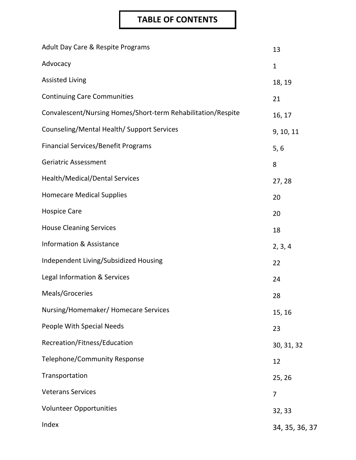## **TABLE OF CONTENTS**

| Adult Day Care & Respite Programs                            | 13             |
|--------------------------------------------------------------|----------------|
| Advocacy                                                     | $\mathbf{1}$   |
| <b>Assisted Living</b>                                       | 18, 19         |
| <b>Continuing Care Communities</b>                           | 21             |
| Convalescent/Nursing Homes/Short-term Rehabilitation/Respite | 16, 17         |
| Counseling/Mental Health/ Support Services                   | 9, 10, 11      |
| <b>Financial Services/Benefit Programs</b>                   | 5, 6           |
| <b>Geriatric Assessment</b>                                  | 8              |
| Health/Medical/Dental Services                               | 27, 28         |
| <b>Homecare Medical Supplies</b>                             | 20             |
| <b>Hospice Care</b>                                          | 20             |
| <b>House Cleaning Services</b>                               | 18             |
| <b>Information &amp; Assistance</b>                          | 2, 3, 4        |
| Independent Living/Subsidized Housing                        | 22             |
| Legal Information & Services                                 | 24             |
| Meals/Groceries                                              | 28             |
| Nursing/Homemaker/ Homecare Services                         | 15, 16         |
| People With Special Needs                                    | 23             |
| Recreation/Fitness/Education                                 | 30, 31, 32     |
| <b>Telephone/Community Response</b>                          | 12             |
| Transportation                                               | 25, 26         |
| <b>Veterans Services</b>                                     | 7              |
| <b>Volunteer Opportunities</b>                               | 32, 33         |
| Index                                                        | 34, 35, 36, 37 |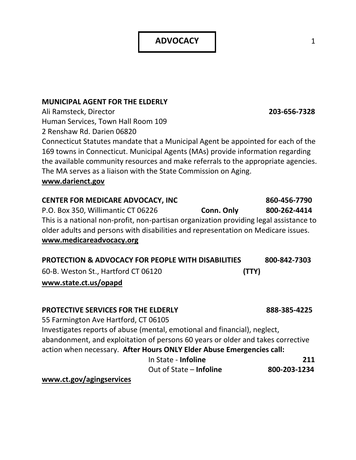**ADVOCACY** 1 1

#### **MUNICIPAL AGENT FOR THE ELDERLY**

Ali Ramsteck, Director **203-656-7328** Human Services, Town Hall Room 109 2 Renshaw Rd. Darien 06820

Connecticut Statutes mandate that a Municipal Agent be appointed for each of the 169 towns in Connecticut. Municipal Agents (MAs) provide information regarding the available community resources and make referrals to the appropriate agencies. The MA serves as a liaison with the State Commission on Aging.

#### **www.darienct.gov**

| <b>CENTER FOR MEDICARE ADVOCACY, INC</b>                                               |            | 860-456-7790 |
|----------------------------------------------------------------------------------------|------------|--------------|
| P.O. Box 350, Willimantic CT 06226                                                     | Conn. Only | 800-262-4414 |
| This is a national non-profit, non-partisan organization providing legal assistance to |            |              |
| older adults and persons with disabilities and representation on Medicare issues.      |            |              |
| www.medicareadvocacy.org                                                               |            |              |
|                                                                                        |            |              |
| <b>DRATECTION &amp; ADVOCACY FOR REQDLE WITH DICARLITIES</b>                           |            | OOO OJA 7303 |

| <b>PROTECTION &amp; ADVOCACY FOR PEOPLE WITH DISABILITIES</b> | 800-842-7303 |
|---------------------------------------------------------------|--------------|
| 60-B. Weston St., Hartford CT 06120                           | (TTY)        |
| www.state.ct.us/opapd                                         |              |

#### **PROTECTIVE SERVICES FOR THE ELDERLY 888-385-4225**

55 Farmington Ave Hartford, CT 06105 Investigates reports of abuse (mental, emotional and financial), neglect, abandonment, and exploitation of persons 60 years or older and takes corrective action when necessary. **After Hours ONLY Elder Abuse Emergencies call:** In State - **Infoline 211** Out of State – **Infoline 800-203-1234**

**www.ct.gov/agingservices**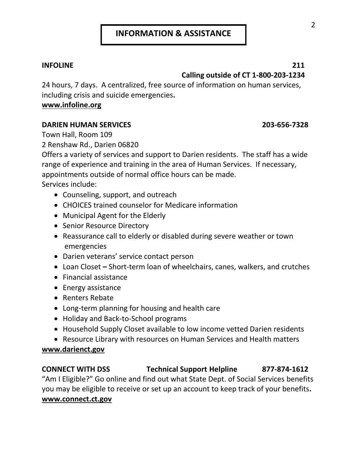#### **INFOLINE 211 Calling outside of CT 1-800-203-1234**

24 hours, 7 days. A centralized, free source of information on human services, including crisis and suicide emergencies**.** 

#### **www.infoline.org**

#### **DARIEN HUMAN SERVICES 203-656-7328**

Town Hall, Room 109

2 Renshaw Rd., Darien 06820

Offers a variety of services and support to Darien residents. The staff has a wide range of experience and training in the area of Human Services. If necessary, appointments outside of normal office hours can be made. Services include:

- Counseling, support, and outreach
- CHOICES trained counselor for Medicare information
- Municipal Agent for the Elderly
- Senior Resource Directory
- Reassurance call to elderly or disabled during severe weather or town emergencies
- Darien veterans' service contact person
- Loan Closet **–** Short-term loan of wheelchairs, canes, walkers, and crutches
- Financial assistance
- Energy assistance
- Renters Rebate
- Long-term planning for housing and health care
- Holiday and Back-to-School programs
- Household Supply Closet available to low income vetted Darien residents
- Resource Library with resources on Human Services and Health matters

### **www.darienct.gov**

### **CONNECT WITH DSS Technical Support Helpline 877-874-1612** "Am I Eligible?" Go online and find out what State Dept. of Social Services benefits you may be eligible to receive or set up an account to keep track of your benefits**. [www.connect.ct.gov](http://www.connect.ct.gov/)**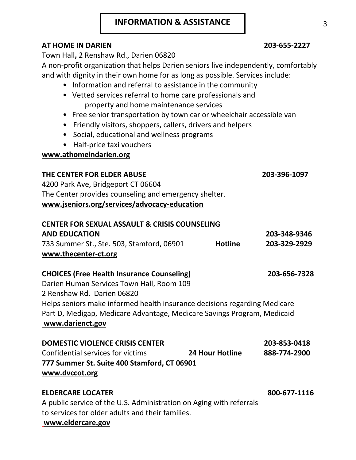### **INFORMATION & ASSISTANCE**

### **AT HOME IN DARIEN 203-655-2227**

Town Hall**,** 2 Renshaw Rd., Darien 06820

A non-profit organization that helps Darien seniors live independently, comfortably and with dignity in their own home for as long as possible. Services include:

- Information and referral to assistance in the community
- Vetted services referral to home care professionals and property and home maintenance services
- Free senior transportation by town car or wheelchair accessible van
- Friendly visitors, shoppers, callers, drivers and helpers
- Social, educational and wellness programs
- Half-price taxi vouchers

### **www.athomeindarien.org**

#### **THE CENTER FOR ELDER ABUSE 203-396-1097**

4200 Park Ave, Bridgeport CT 06604 The Center provides counseling and emergency shelter. **www.jseniors.org/services/advocacy-education**

| <b>CENTER FOR SEXUAL ASSAULT &amp; CRISIS COUNSELING</b> |                |              |
|----------------------------------------------------------|----------------|--------------|
| <b>AND EDUCATION</b>                                     |                | 203-348-9346 |
| 733 Summer St., Ste. 503, Stamford, 06901                | <b>Hotline</b> | 203-329-2929 |
| www.thecenter-ct.org                                     |                |              |

### **CHOICES (Free Health Insurance Counseling) 203-656-7328**

Darien Human Services Town Hall, Room 109 2 Renshaw Rd. Darien 06820

Helps seniors make informed health insurance decisions regarding Medicare Part D, Medigap, Medicare Advantage, Medicare Savings Program, Medicaid **www.darienct.gov**

| <b>DOMESTIC VIOLENCE CRISIS CENTER</b>      |                        | 203-853-0418 |
|---------------------------------------------|------------------------|--------------|
| Confidential services for victims           | <b>24 Hour Hotline</b> | 888-774-2900 |
| 777 Summer St. Suite 400 Stamford, CT 06901 |                        |              |
| www.dvccot.org                              |                        |              |

### **ELDERCARE LOCATER 800-677-1116**

A public service of the U.S. Administration on Aging with referrals to services for older adults and their families.

#### **www.eldercare.gov**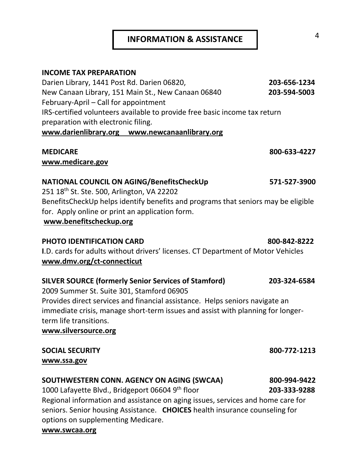### **INFORMATION & ASSISTANCE**

#### **INCOME TAX PREPARATION**

Darien Library, 1441 Post Rd. Darien 06820, **203-656-1234** New Canaan Library, 151 Main St., New Canaan 06840 **203-594-5003** February-April – Call for appointment IRS-certified volunteers available to provide free basic income tax return preparation with electronic filing. **www.darienlibrary.org www.newcanaanlibrary.org**

#### **MEDICARE 800-633-4227**

**[www.medicare.gov](http://www.medicare.gov/)**

#### **NATIONAL COUNCIL ON AGING/BenefitsCheckUp 571-527-3900**

251 18th St. Ste. 500, Arlington, VA 22202 BenefitsCheckUp helps identify benefits and programs that seniors may be eligible for. Apply online or print an application form. **www.benefitscheckup.org**

#### **PHOTO IDENTIFICATION CARD 800-842-8222**

**I**.D. cards for adults without drivers' licenses. CT Department of Motor Vehicles **[www.dmv.org/ct-connecticut](http://www.dmv.org/ct-connecticut)**

### **SILVER SOURCE (formerly Senior Services of Stamford) 203-324-6584**

2009 Summer St. Suite 301, Stamford 06905 Provides direct services and financial assistance. Helps seniors navigate an immediate crisis, manage short-term issues and assist with planning for longerterm life transitions.

**www.silversource.org**

#### **SOCIAL SECURITY 800-772-1213 www.ssa.gov**

### **SOUTHWESTERN CONN. AGENCY ON AGING (SWCAA) 800-994-9422**

1000 Lafayette Blvd., Bridgeport 06604 9th floor

Regional information and assistance on aging issues, services and home care for seniors. Senior housing Assistance. **CHOICES** health insurance counseling for options on supplementing Medicare.

#### **www.swcaa.org**

th floor **203-333-9288**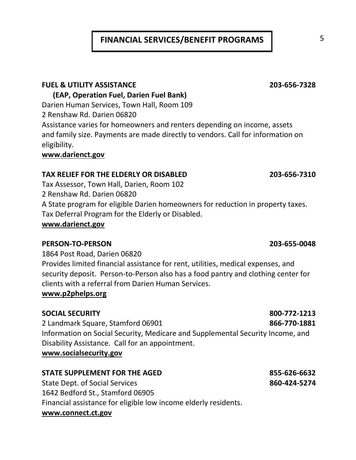## **FINANCIAL SERVICES/BENEFIT PROGRAMS** 5

#### **FUEL & UTILITY ASSISTANCE 203-656-7328**

#### **(EAP, Operation Fuel, Darien Fuel Bank)**

Darien Human Services, Town Hall, Room 109

2 Renshaw Rd. Darien 06820

Assistance varies for homeowners and renters depending on income, assets and family size. Payments are made directly to vendors. Call for information on eligibility.

#### **www.darienct.gov**

#### **TAX RELIEF FOR THE ELDERLY OR DISABLED 203-656-7310**

Tax Assessor, Town Hall, Darien, Room 102 2 Renshaw Rd. Darien 06820 A State program for eligible Darien homeowners for reduction in property taxes. Tax Deferral Program for the Elderly or Disabled. **www.darienct.gov**

#### **PERSON-TO-PERSON 203-655-0048**

1864 Post Road, Darien 06820 Provides limited financial assistance for rent, utilities, medical expenses, and security deposit. Person-to-Person also has a food pantry and clothing center for clients with a referral from Darien Human Services.

#### **www.p2phelps.org**

#### **SOCIAL SECURITY 800-772-1213**

2 Landmark Square, Stamford 06901 **866-770-1881** Information on Social Security, Medicare and Supplemental Security Income, and Disability Assistance. Call for an appointment. **www.socialsecurity.gov**

### **STATE SUPPLEMENT FOR THE AGED 855-626-6632**

State Dept. of Social Services **860-424-5274** 1642 Bedford St., Stamford 06905 Financial assistance for eligible low income elderly residents. **www.connect.ct.gov**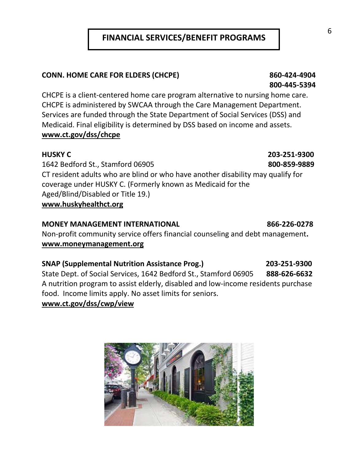### **FINANCIAL SERVICES/BENEFIT PROGRAMS**

#### **CONN. HOME CARE FOR ELDERS (CHCPE) 860-424-4904**

CHCPE is a client-centered home care program alternative to nursing home care. CHCPE is administered by SWCAA through the Care Management Department. Services are funded through the State Department of Social Services (DSS) and Medicaid. Final eligibility is determined by DSS based on income and assets. **www.ct.gov/dss/chcpe**

1642 Bedford St., Stamford 06905 **800-859-9889** CT resident adults who are blind or who have another disability may qualify for coverage under HUSKY C. (Formerly known as Medicaid for the Aged/Blind/Disabled or Title 19.) **www.huskyhealthct.org**

#### **MONEY MANAGEMENT INTERNATIONAL 866-226-0278**

Non-profit community service offers financial counseling and debt management**. www.moneymanagement.org**

#### **SNAP (Supplemental Nutrition Assistance Prog.) 203-251-9300**

State Dept. of Social Services, 1642 Bedford St., Stamford 06905 **888-626-6632** A nutrition program to assist elderly, disabled and low-income residents purchase food. Income limits apply. No asset limits for seniors. **www.ct.gov/dss/cwp/view**



#### 6

## **HUSKY C 203-251-9300**

 **800-445-5394**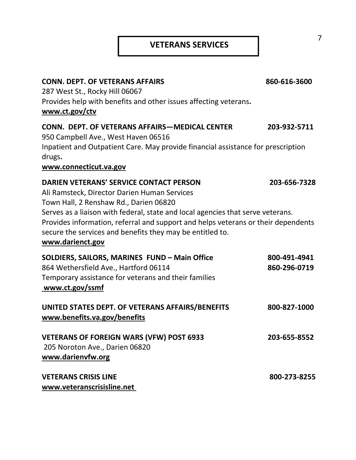### **VETERANS SERVICES**

| <b>CONN. DEPT. OF VETERANS AFFAIRS</b>                                                     | 860-616-3600 |
|--------------------------------------------------------------------------------------------|--------------|
| 287 West St., Rocky Hill 06067                                                             |              |
| Provides help with benefits and other issues affecting veterans.                           |              |
| www.ct.gov/ctv                                                                             |              |
| <b>CONN. DEPT. OF VETERANS AFFAIRS-MEDICAL CENTER</b>                                      | 203-932-5711 |
| 950 Campbell Ave., West Haven 06516                                                        |              |
| Inpatient and Outpatient Care. May provide financial assistance for prescription<br>drugs. |              |
| www.connecticut.va.gov                                                                     |              |
| <b>DARIEN VETERANS' SERVICE CONTACT PERSON</b>                                             | 203-656-7328 |
| Ali Ramsteck, Director Darien Human Services                                               |              |
| Town Hall, 2 Renshaw Rd., Darien 06820                                                     |              |
| Serves as a liaison with federal, state and local agencies that serve veterans.            |              |
| Provides information, referral and support and helps veterans or their dependents          |              |
| secure the services and benefits they may be entitled to.                                  |              |
| www.darienct.gov                                                                           |              |
| SOLDIERS, SAILORS, MARINES FUND - Main Office                                              | 800-491-4941 |
| 864 Wethersfield Ave., Hartford 06114                                                      | 860-296-0719 |
| Temporary assistance for veterans and their families                                       |              |
| www.ct.gov/ssmf                                                                            |              |
| UNITED STATES DEPT. OF VETERANS AFFAIRS/BENEFITS                                           | 800-827-1000 |
| www.benefits.va.gov/benefits                                                               |              |
|                                                                                            |              |
| <b>VETERANS OF FOREIGN WARS (VFW) POST 6933</b>                                            | 203-655-8552 |
| 205 Noroton Ave., Darien 06820                                                             |              |
| www.darienvfw.org                                                                          |              |
| <b>VETERANS CRISIS LINE</b>                                                                | 800-273-8255 |
| www.veteranscrisisline.net                                                                 |              |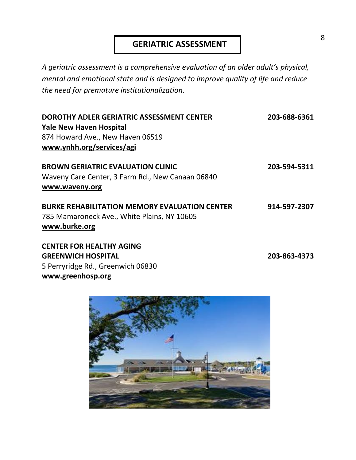### **GERIATRIC ASSESSMENT**

*A geriatric assessment is a comprehensive evaluation of an older adult's physical, mental and emotional state and is designed to improve quality of life and reduce the need for premature institutionalization*.

| DOROTHY ADLER GERIATRIC ASSESSMENT CENTER<br><b>Yale New Haven Hospital</b>                                          | 203-688-6361 |
|----------------------------------------------------------------------------------------------------------------------|--------------|
| 874 Howard Ave., New Haven 06519<br>www.ynhh.org/services/agi                                                        |              |
| <b>BROWN GERIATRIC EVALUATION CLINIC</b><br>Waveny Care Center, 3 Farm Rd., New Canaan 06840<br>www.waveny.org       | 203-594-5311 |
| <b>BURKE REHABILITATION MEMORY EVALUATION CENTER</b><br>785 Mamaroneck Ave., White Plains, NY 10605<br>www.burke.org | 914-597-2307 |

**CENTER FOR HEALTHY AGING GREENWICH HOSPITAL 203-863-4373** 5 Perryridge Rd., Greenwich 06830 **[www.greenhosp.org](http://www.greenhosp.org/)**

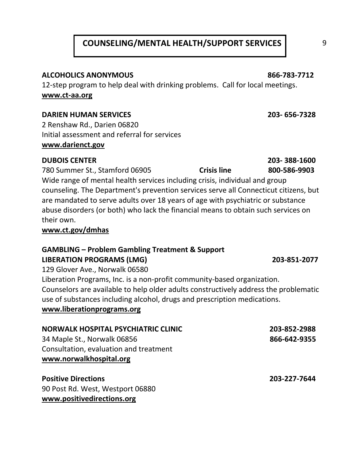### **COUNSELING/MENTAL HEALTH/SUPPORT SERVICES** 9

#### **ALCOHOLICS ANONYMOUS 866-783-7712**

12-step program to help deal with drinking problems. Call for local meetings. **[www.ct-aa.org](http://www.ct-aa.org/)**

#### **DARIEN HUMAN SERVICES 203- 656-7328**

2 Renshaw Rd., Darien 06820 Initial assessment and referral for services **www.darienct.gov**

#### **DUBOIS CENTER 203- 388-1600**

780 Summer St., Stamford 06905 **Crisis line 800-586-9903** Wide range of mental health services including crisis, individual and group counseling. The Department's prevention services serve all Connecticut citizens, but are mandated to serve adults over 18 years of age with psychiatric or substance abuse disorders (or both) who lack the financial means to obtain such services on their own.

#### **www.ct.gov/dmhas**

**www.positivedirections.org**

#### **GAMBLING – Problem Gambling Treatment & Support LIBERATION PROGRAMS (LMG) 203-851-2077**

129 Glover Ave., Norwalk 06580 Liberation Programs, Inc. is a non-profit community-based organization. Counselors are available to help older adults constructively address the problematic use of substances including alcohol, drugs and prescription medications. **www.liberationprograms.org**

| <b>NORWALK HOSPITAL PSYCHIATRIC CLINIC</b> | 203-852-2988 |
|--------------------------------------------|--------------|
| 34 Maple St., Norwalk 06856                | 866-642-9355 |
| Consultation, evaluation and treatment     |              |
| www.norwalkhospital.org                    |              |
| <b>Positive Directions</b>                 | 203-227-7644 |
| 90 Post Rd. West, Westport 06880           |              |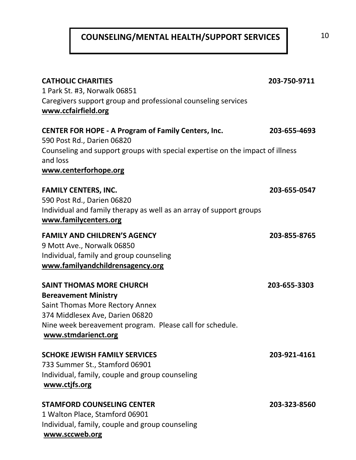## **COUNSELING/MENTAL HEALTH/SUPPORT SERVICES** 10

| <b>CATHOLIC CHARITIES</b><br>1 Park St. #3, Norwalk 06851<br>Caregivers support group and professional counseling services<br>www.ccfairfield.org                                                                       | 203-750-9711 |
|-------------------------------------------------------------------------------------------------------------------------------------------------------------------------------------------------------------------------|--------------|
| <b>CENTER FOR HOPE - A Program of Family Centers, Inc.</b><br>590 Post Rd., Darien 06820<br>Counseling and support groups with special expertise on the impact of illness<br>and loss<br>www.centerforhope.org          | 203-655-4693 |
| <b>FAMILY CENTERS, INC.</b><br>590 Post Rd., Darien 06820<br>Individual and family therapy as well as an array of support groups<br>www.familycenters.org                                                               | 203-655-0547 |
| <b>FAMILY AND CHILDREN'S AGENCY</b><br>9 Mott Ave., Norwalk 06850<br>Individual, family and group counseling<br>www.familyandchildrensagency.org                                                                        | 203-855-8765 |
| <b>SAINT THOMAS MORE CHURCH</b><br><b>Bereavement Ministry</b><br>Saint Thomas More Rectory Annex<br>374 Middlesex Ave, Darien 06820<br>Nine week bereavement program. Please call for schedule.<br>www.stmdarienct.org | 203-655-3303 |
| <b>SCHOKE JEWISH FAMILY SERVICES</b><br>733 Summer St., Stamford 06901<br>Individual, family, couple and group counseling<br>www.ctjfs.org                                                                              | 203-921-4161 |
| <b>STAMFORD COUNSELING CENTER</b><br>1 Walton Place, Stamford 06901<br>Individual, family, couple and group counseling                                                                                                  | 203-323-8560 |

**[www.sccweb.org](http://www.sccweb.org/)**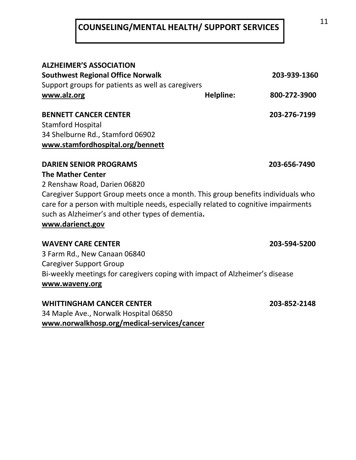## **COUNSELING/MENTAL HEALTH/ SUPPORT SERVICES**

| <b>ALZHEIMER'S ASSOCIATION</b>                                                                                                                                                                                            |           |              |
|---------------------------------------------------------------------------------------------------------------------------------------------------------------------------------------------------------------------------|-----------|--------------|
| <b>Southwest Regional Office Norwalk</b>                                                                                                                                                                                  |           | 203-939-1360 |
| Support groups for patients as well as caregivers                                                                                                                                                                         |           |              |
| www.alz.org                                                                                                                                                                                                               | Helpline: | 800-272-3900 |
| <b>BENNETT CANCER CENTER</b>                                                                                                                                                                                              |           | 203-276-7199 |
| <b>Stamford Hospital</b>                                                                                                                                                                                                  |           |              |
| 34 Shelburne Rd., Stamford 06902                                                                                                                                                                                          |           |              |
| www.stamfordhospital.org/bennett                                                                                                                                                                                          |           |              |
| <b>DARIEN SENIOR PROGRAMS</b>                                                                                                                                                                                             |           | 203-656-7490 |
| <b>The Mather Center</b>                                                                                                                                                                                                  |           |              |
| 2 Renshaw Road, Darien 06820                                                                                                                                                                                              |           |              |
| Caregiver Support Group meets once a month. This group benefits individuals who<br>care for a person with multiple needs, especially related to cognitive impairments<br>such as Alzheimer's and other types of dementia. |           |              |
| www.darienct.gov                                                                                                                                                                                                          |           |              |
| <b>WAVENY CARE CENTER</b>                                                                                                                                                                                                 |           | 203-594-5200 |
| 3 Farm Rd., New Canaan 06840                                                                                                                                                                                              |           |              |
| <b>Caregiver Support Group</b>                                                                                                                                                                                            |           |              |
| Bi-weekly meetings for caregivers coping with impact of Alzheimer's disease                                                                                                                                               |           |              |
| www.waveny.org                                                                                                                                                                                                            |           |              |
|                                                                                                                                                                                                                           |           |              |

**WHITTINGHAM CANCER CENTER 203-852-2148** 34 Maple Ave., Norwalk Hospital 06850 **[www.norwalkhosp.](http://www.norwalkhosp/)org/medical-services/cancer**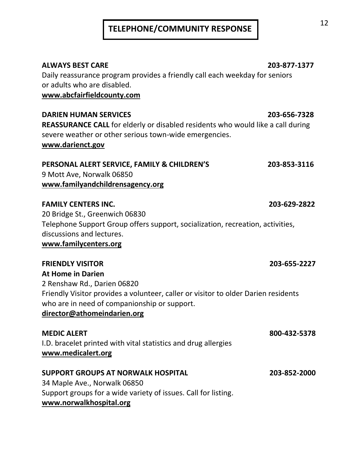# <sup>12</sup> **TELEPHONE/COMMUNITY RESPONSE**

**ALWAYS BEST CARE 203-877-1377** Daily reassurance program provides a friendly call each weekday for seniors or adults who are disabled. **www.abcfairfieldcounty.com**

**DARIEN HUMAN SERVICES 203-656-7328 REASSURANCE CALL** for elderly or disabled residents who would like a call during severe weather or other serious town-wide emergencies.

#### **www.darienct.gov**

#### **PERSONAL ALERT SERVICE, FAMILY & CHILDREN'S 203-853-3116**  9 Mott Ave, Norwalk 06850 **[www.familyandchildrensagency.org](http://www.familyandchildrensagency.org/)**

#### **FAMILY CENTERS INC. 203-629-2822**

20 Bridge St., Greenwich 06830 Telephone Support Group offers support, socialization, recreation, activities, discussions and lectures.

**[www.familycenters.org](http://www.familycenters.org/)**

**FRIENDLY VISITOR 203-655-2227 At Home in Darien** 2 Renshaw Rd., Darien 06820 Friendly Visitor provides a volunteer, caller or visitor to older Darien residents who are in need of companionship or support. **director@athomeindarien.org**

**MEDIC ALERT 800-432-5378** I.D. bracelet printed with vital statistics and drug allergies **[www.medicalert.org](http://www.medicalert.org/)**

#### **SUPPORT GROUPS AT NORWALK HOSPITAL 203-852-2000** 34 Maple Ave., Norwalk 06850 Support groups for a wide variety of issues. Call for listing. **www.norwalkhospital.org**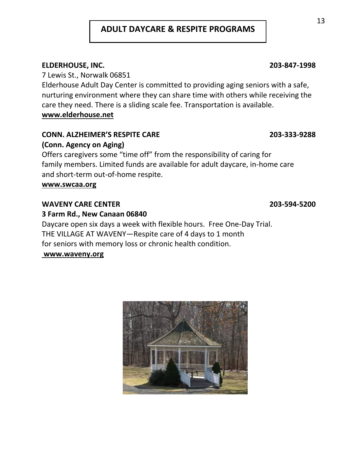### **ADULT DAYCARE & RESPITE PROGRAMS**

#### **ELDERHOUSE, INC. 203-847-1998**

7 Lewis St., Norwalk 06851

Elderhouse Adult Day Center is committed to providing aging seniors with a safe, nurturing environment where they can share time with others while receiving the care they need. There is a sliding scale fee. Transportation is available. **www.elderhouse.net**

#### **CONN. ALZHEIMER'S RESPITE CARE 203-333-9288**

#### **(Conn. Agency on Aging)**

Offers caregivers some "time off" from the responsibility of caring for family members. Limited funds are available for adult daycare, in-home care and short-term out-of-home respite.

#### **www.swcaa.org**

#### **WAVENY CARE CENTER 203-594-5200**

#### **3 Farm Rd., New Canaan 06840**

Daycare open six days a week with flexible hours. Free One-Day Trial. THE VILLAGE AT WAVENY—Respite care of 4 days to 1 month for seniors with memory loss or chronic health condition.

#### **www.waveny.org**

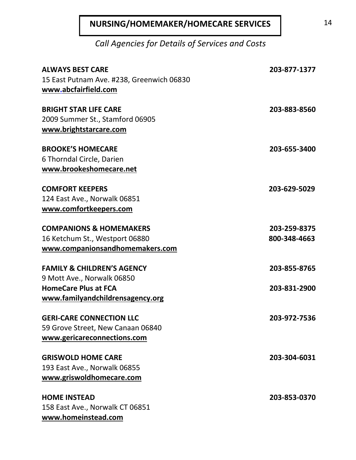## **NURSING/HOMEMAKER/HOMECARE SERVICES** 14

*Call Agencies for Details of Services and Costs*

| <b>ALWAYS BEST CARE</b><br>15 East Putnam Ave. #238, Greenwich 06830<br>www.abcfairfield.com            | 203-877-1377                 |
|---------------------------------------------------------------------------------------------------------|------------------------------|
| <b>BRIGHT STAR LIFE CARE</b><br>2009 Summer St., Stamford 06905<br>www.brightstarcare.com               | 203-883-8560                 |
| <b>BROOKE'S HOMECARE</b><br>6 Thorndal Circle, Darien<br>www.brookeshomecare.net                        | 203-655-3400                 |
| <b>COMFORT KEEPERS</b><br>124 East Ave., Norwalk 06851<br>www.comfortkeepers.com                        | 203-629-5029                 |
| <b>COMPANIONS &amp; HOMEMAKERS</b><br>16 Ketchum St., Westport 06880<br>www.companionsandhomemakers.com | 203-259-8375<br>800-348-4663 |
| <b>FAMILY &amp; CHILDREN'S AGENCY</b><br>9 Mott Ave., Norwalk 06850                                     | 203-855-8765                 |
| <b>HomeCare Plus at FCA</b><br>www.familyandchildrensagency.org                                         | 203-831-2900                 |
| <b>GERI-CARE CONNECTION LLC</b><br>59 Grove Street, New Canaan 06840<br>www.gericareconnections.com     | 203-972-7536                 |
| <b>GRISWOLD HOME CARE</b><br>193 East Ave., Norwalk 06855<br>www.griswoldhomecare.com                   | 203-304-6031                 |
| <b>HOME INSTEAD</b><br>158 East Ave., Norwalk CT 06851<br>www.homeinstead.com                           | 203-853-0370                 |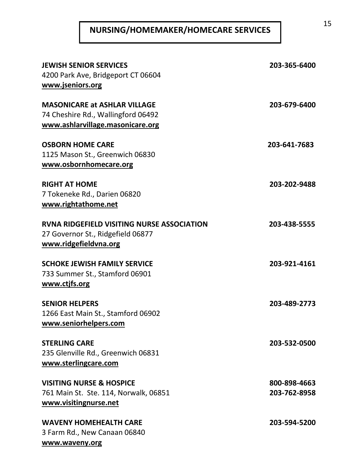# **NURSING/HOMEMAKER/HOMECARE SERVICES** 15

| <b>JEWISH SENIOR SERVICES</b><br>4200 Park Ave, Bridgeport CT 06604<br>www.jseniors.org                         | 203-365-6400                 |
|-----------------------------------------------------------------------------------------------------------------|------------------------------|
| <b>MASONICARE at ASHLAR VILLAGE</b><br>74 Cheshire Rd., Wallingford 06492<br>www.ashlarvillage.masonicare.org   | 203-679-6400                 |
| <b>OSBORN HOME CARE</b><br>1125 Mason St., Greenwich 06830<br>www.osbornhomecare.org                            | 203-641-7683                 |
| <b>RIGHT AT HOME</b><br>7 Tokeneke Rd., Darien 06820<br>www.rightathome.net                                     | 203-202-9488                 |
| <b>RVNA RIDGEFIELD VISITING NURSE ASSOCIATION</b><br>27 Governor St., Ridgefield 06877<br>www.ridgefieldvna.org | 203-438-5555                 |
| <b>SCHOKE JEWISH FAMILY SERVICE</b><br>733 Summer St., Stamford 06901<br>www.ctjfs.org                          | 203-921-4161                 |
| <b>SENIOR HELPERS</b><br>1266 East Main St., Stamford 06902<br>www.seniorhelpers.com                            | 203-489-2773                 |
| <b>STERLING CARE</b><br>235 Glenville Rd., Greenwich 06831<br>www.sterlingcare.com                              | 203-532-0500                 |
| <b>VISITING NURSE &amp; HOSPICE</b><br>761 Main St. Ste. 114, Norwalk, 06851<br>www.visitingnurse.net           | 800-898-4663<br>203-762-8958 |
| <b>WAVENY HOMEHEALTH CARE</b><br>3 Farm Rd., New Canaan 06840<br>www.waveny.org                                 | 203-594-5200                 |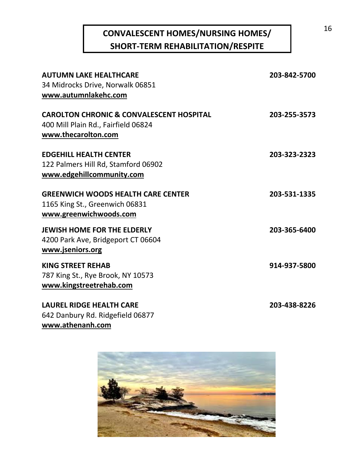## **CONVALESCENT HOMES/NURSING HOMES/ SHORT-TERM REHABILITATION/RESPITE**

| <b>AUTUMN LAKE HEALTHCARE</b>                       | 203-842-5700 |
|-----------------------------------------------------|--------------|
| 34 Midrocks Drive, Norwalk 06851                    |              |
| www.autumnlakehc.com                                |              |
| <b>CAROLTON CHRONIC &amp; CONVALESCENT HOSPITAL</b> | 203-255-3573 |
| 400 Mill Plain Rd., Fairfield 06824                 |              |
| www.thecarolton.com                                 |              |
| <b>EDGEHILL HEALTH CENTER</b>                       | 203-323-2323 |
| 122 Palmers Hill Rd, Stamford 06902                 |              |
| www.edgehillcommunity.com                           |              |
| <b>GREENWICH WOODS HEALTH CARE CENTER</b>           | 203-531-1335 |
| 1165 King St., Greenwich 06831                      |              |
| www.greenwichwoods.com                              |              |
| <b>JEWISH HOME FOR THE ELDERLY</b>                  | 203-365-6400 |
| 4200 Park Ave, Bridgeport CT 06604                  |              |
| www.jseniors.org                                    |              |
| <b>KING STREET REHAB</b>                            | 914-937-5800 |
| 787 King St., Rye Brook, NY 10573                   |              |
| www.kingstreetrehab.com                             |              |
| <b>LAUREL RIDGE HEALTH CARE</b>                     | 203-438-8226 |
| 642 Danbury Rd. Ridgefield 06877                    |              |

**www.athenanh.com**



16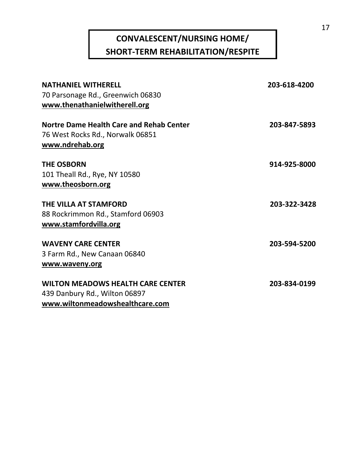## **CONVALESCENT/NURSING HOME/ SHORT-TERM REHABILITATION/RESPITE**

| <b>NATHANIEL WITHERELL</b>               | 203-618-4200 |
|------------------------------------------|--------------|
| 70 Parsonage Rd., Greenwich 06830        |              |
| www.thenathanielwitherell.org            |              |
| Nortre Dame Health Care and Rehab Center | 203-847-5893 |
| 76 West Rocks Rd., Norwalk 06851         |              |
| www.ndrehab.org                          |              |
| <b>THE OSBORN</b>                        | 914-925-8000 |
| 101 Theall Rd., Rye, NY 10580            |              |
| www.theosborn.org                        |              |
| THE VILLA AT STAMFORD                    | 203-322-3428 |
| 88 Rockrimmon Rd., Stamford 06903        |              |
| www.stamfordvilla.org                    |              |
| <b>WAVENY CARE CENTER</b>                | 203-594-5200 |
| 3 Farm Rd., New Canaan 06840             |              |
| www.waveny.org                           |              |
| <b>WILTON MEADOWS HEALTH CARE CENTER</b> | 203-834-0199 |
| 439 Danbury Rd., Wilton 06897            |              |
| www.wiltonmeadowshealthcare.com          |              |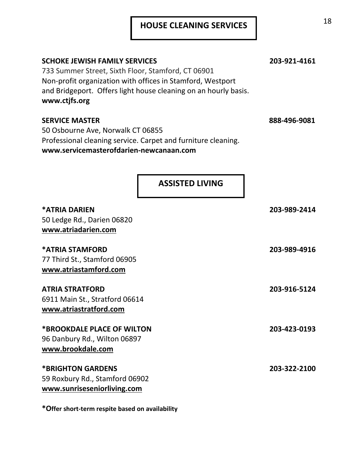| <b>SCHOKE JEWISH FAMILY SERVICES</b><br>733 Summer Street, Sixth Floor, Stamford, CT 06901<br>Non-profit organization with offices in Stamford, Westport<br>and Bridgeport. Offers light house cleaning on an hourly basis.<br>www.ctjfs.org | 203-921-4161 |
|----------------------------------------------------------------------------------------------------------------------------------------------------------------------------------------------------------------------------------------------|--------------|
| <b>SERVICE MASTER</b><br>50 Osbourne Ave, Norwalk CT 06855<br>Professional cleaning service. Carpet and furniture cleaning.<br>www.servicemasterofdarien-newcanaan.com                                                                       | 888-496-9081 |
| <b>ASSISTED LIVING</b>                                                                                                                                                                                                                       |              |
| <b>*ATRIA DARIEN</b><br>50 Ledge Rd., Darien 06820<br>www.atriadarien.com                                                                                                                                                                    | 203-989-2414 |
| *ATRIA STAMFORD<br>77 Third St., Stamford 06905<br>www.atriastamford.com                                                                                                                                                                     | 203-989-4916 |
| <b>ATRIA STRATFORD</b><br>6911 Main St., Stratford 06614<br>www.atriastratford.com                                                                                                                                                           | 203-916-5124 |
| *BROOKDALE PLACE OF WILTON<br>96 Danbury Rd., Wilton 06897<br>www.brookdale.com                                                                                                                                                              | 203-423-0193 |
| <b>*BRIGHTON GARDENS</b><br>59 Roxbury Rd., Stamford 06902<br>www.sunriseseniorliving.com                                                                                                                                                    | 203-322-2100 |

**\*Offer short-term respite based on availability**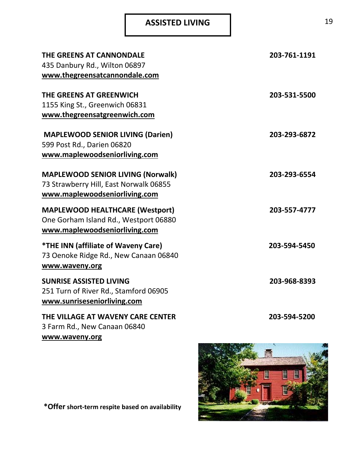## ASSISTED LIVING 19

| THE GREENS AT CANNONDALE<br>435 Danbury Rd., Wilton 06897<br>www.thegreensatcannondale.com                          | 203-761-1191 |
|---------------------------------------------------------------------------------------------------------------------|--------------|
| THE GREENS AT GREENWICH<br>1155 King St., Greenwich 06831<br>www.thegreensatgreenwich.com                           | 203-531-5500 |
| <b>MAPLEWOOD SENIOR LIVING (Darien)</b><br>599 Post Rd., Darien 06820<br>www.maplewoodseniorliving.com              | 203-293-6872 |
| <b>MAPLEWOOD SENIOR LIVING (Norwalk)</b><br>73 Strawberry Hill, East Norwalk 06855<br>www.maplewoodseniorliving.com | 203-293-6554 |
| <b>MAPLEWOOD HEALTHCARE (Westport)</b><br>One Gorham Island Rd., Westport 06880<br>www.maplewoodseniorliving.com    | 203-557-4777 |
| <i><b>*THE INN (affiliate of Waveny Care)</b></i><br>73 Oenoke Ridge Rd., New Canaan 06840<br>www.waveny.org        | 203-594-5450 |
| <b>SUNRISE ASSISTED LIVING</b><br>251 Turn of River Rd., Stamford 06905<br>www.sunriseseniorliving.com              | 203-968-8393 |
| THE VILLAGE AT WAVENY CARE CENTER<br>3 Farm Rd., New Canaan 06840<br>www.waveny.org                                 | 203-594-5200 |
|                                                                                                                     |              |



**\*Offer short-term respite based on availability**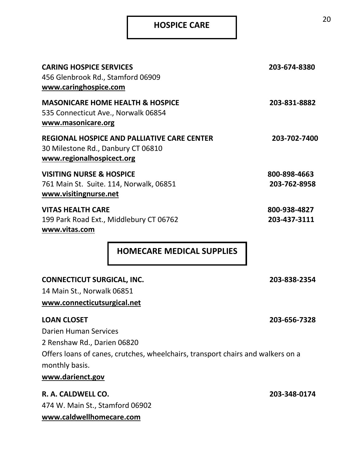## **HOSPICE CARE**

| <b>CARING HOSPICE SERVICES</b><br>456 Glenbrook Rd., Stamford 06909<br>www.caringhospice.com                          | 203-674-8380 |
|-----------------------------------------------------------------------------------------------------------------------|--------------|
| <b>MASONICARE HOME HEALTH &amp; HOSPICE</b><br>535 Connecticut Ave., Norwalk 06854<br>www.masonicare.org              | 203-831-8882 |
| <b>REGIONAL HOSPICE AND PALLIATIVE CARE CENTER</b><br>30 Milestone Rd., Danbury CT 06810<br>www.regionalhospicect.org | 203-702-7400 |
| <b>VISITING NURSE &amp; HOSPICE</b>                                                                                   | 800-898-4663 |
| 761 Main St. Suite. 114, Norwalk, 06851                                                                               | 203-762-8958 |
| www.visitingnurse.net                                                                                                 |              |
| <b>VITAS HEALTH CARE</b>                                                                                              | 800-938-4827 |
| 199 Park Road Ext., Middlebury CT 06762                                                                               | 203-437-3111 |
| www.vitas.com                                                                                                         |              |
| <b>HOMECARE MEDICAL SUPPLIES</b>                                                                                      |              |
| <b>CONNECTICUT SURGICAL, INC.</b>                                                                                     | 203-838-2354 |
| 14 Main St., Norwalk 06851                                                                                            |              |
| www.connecticutsurgical.net                                                                                           |              |
| <b>LOAN CLOSET</b>                                                                                                    | 203-656-7328 |
| <b>Darien Human Services</b>                                                                                          |              |
| 2 Renshaw Rd., Darien 06820                                                                                           |              |
| Offers loans of canes, crutches, wheelchairs, transport chairs and walkers on a                                       |              |
| monthly basis.                                                                                                        |              |
| www.darienct.gov                                                                                                      |              |
|                                                                                                                       |              |
| R. A. CALDWELL CO.                                                                                                    | 203-348-0174 |

474 W. Main St., Stamford 06902 **www.caldwellhomecare.com**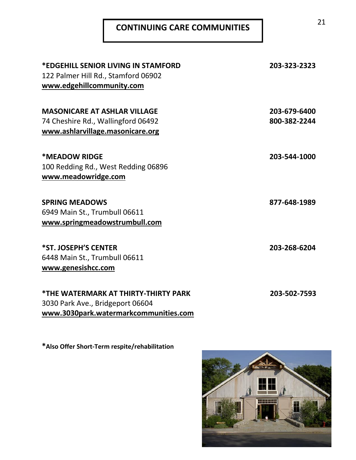# **CONTINUING CARE COMMUNITIES** 21

| *EDGEHILL SENIOR LIVING IN STAMFORD<br>122 Palmer Hill Rd., Stamford 06902<br>www.edgehillcommunity.com           | 203-323-2323                 |
|-------------------------------------------------------------------------------------------------------------------|------------------------------|
| <b>MASONICARE AT ASHLAR VILLAGE</b><br>74 Cheshire Rd., Wallingford 06492<br>www.ashlarvillage.masonicare.org     | 203-679-6400<br>800-382-2244 |
| *MEADOW RIDGE<br>100 Redding Rd., West Redding 06896<br>www.meadowridge.com                                       | 203-544-1000                 |
| <b>SPRING MEADOWS</b><br>6949 Main St., Trumbull 06611<br>www.springmeadowstrumbull.com                           | 877-648-1989                 |
| *ST. JOSEPH'S CENTER<br>6448 Main St., Trumbull 06611<br>www.genesishcc.com                                       | 203-268-6204                 |
| *THE WATERMARK AT THIRTY-THIRTY PARK<br>3030 Park Ave., Bridgeport 06604<br>www.3030park.watermarkcommunities.com | 203-502-7593                 |

**\*Also Offer Short-Term respite/rehabilitation**

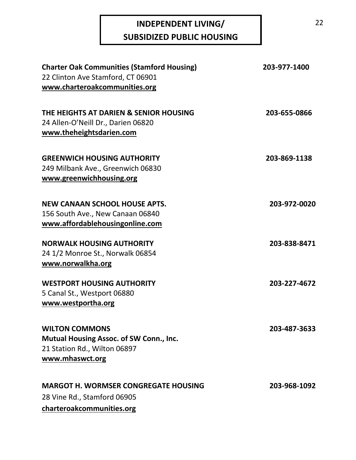## **INDEPENDENT LIVING/ SUBSIDIZED PUBLIC HOUSING**

| <b>Charter Oak Communities (Stamford Housing)</b><br>22 Clinton Ave Stamford, CT 06901<br>www.charteroakcommunities.org | 203-977-1400 |
|-------------------------------------------------------------------------------------------------------------------------|--------------|
| THE HEIGHTS AT DARIEN & SENIOR HOUSING<br>24 Allen-O'Neill Dr., Darien 06820<br>www.theheightsdarien.com                | 203-655-0866 |
| <b>GREENWICH HOUSING AUTHORITY</b><br>249 Milbank Ave., Greenwich 06830<br>www.greenwichhousing.org                     | 203-869-1138 |
| <b>NEW CANAAN SCHOOL HOUSE APTS.</b><br>156 South Ave., New Canaan 06840<br>www.affordablehousingonline.com             | 203-972-0020 |
| <b>NORWALK HOUSING AUTHORITY</b><br>24 1/2 Monroe St., Norwalk 06854<br>www.norwalkha.org                               | 203-838-8471 |
| <b>WESTPORT HOUSING AUTHORITY</b><br>5 Canal St., Westport 06880<br>www.westportha.org                                  | 203-227-4672 |
| <b>WILTON COMMONS</b><br>Mutual Housing Assoc. of SW Conn., Inc.<br>21 Station Rd., Wilton 06897<br>www.mhaswct.org     | 203-487-3633 |
| <b>MARGOT H. WORMSER CONGREGATE HOUSING</b><br>28 Vine Rd., Stamford 06905<br>charteroakcommunities.org                 | 203-968-1092 |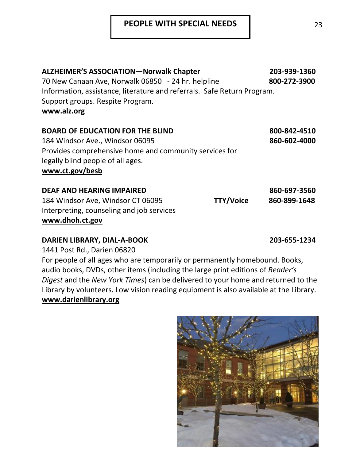### **PEOPLE WITH SPECIAL NEEDS** | 23

| <b>ALZHEIMER'S ASSOCIATION-Norwalk Chapter</b>                          |                  | 203-939-1360 |
|-------------------------------------------------------------------------|------------------|--------------|
| 70 New Canaan Ave, Norwalk 06850 - 24 hr. helpline                      |                  | 800-272-3900 |
| Information, assistance, literature and referrals. Safe Return Program. |                  |              |
| Support groups. Respite Program.                                        |                  |              |
| www.alz.org                                                             |                  |              |
| <b>BOARD OF EDUCATION FOR THE BLIND</b>                                 |                  | 800-842-4510 |
| 184 Windsor Ave., Windsor 06095                                         |                  | 860-602-4000 |
| Provides comprehensive home and community services for                  |                  |              |
| legally blind people of all ages.                                       |                  |              |
| www.ct.gov/besb                                                         |                  |              |
| <b>DEAF AND HEARING IMPAIRED</b>                                        |                  | 860-697-3560 |
| 184 Windsor Ave, Windsor CT 06095                                       | <b>TTY/Voice</b> | 860-899-1648 |
| Interpreting, counseling and job services                               |                  |              |
| www.dhoh.ct.gov                                                         |                  |              |
|                                                                         |                  |              |

## **DARIEN LIBRARY, DIAL-A-BOOK 203-655-1234**

1441 Post Rd., Darien 06820

For people of all ages who are temporarily or permanently homebound. Books, audio books, DVDs, other items (including the large print editions of *Reader's Digest* and the *New York Times*) can be delivered to your home and returned to the Library by volunteers. Low vision reading equipment is also available at the Library. **www.darienlibrary.org** 

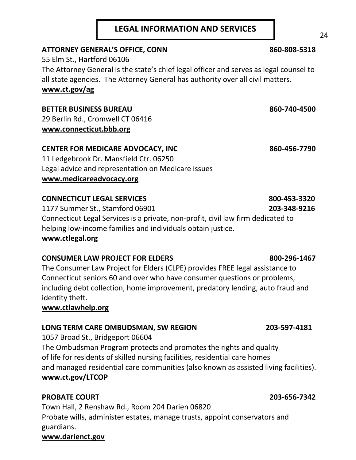### **LEGAL INFORMATION AND SERVICES**

#### ATTORNEY GENERAL'S OFFICE, CONN<br>
860-808-5318

55 Elm St., Hartford 06106 The Attorney General is the state's chief legal officer and serves as legal counsel to all state agencies. The Attorney General has authority over all civil matters. **www.ct.gov/ag** 

#### **BETTER BUSINESS BUREAU 860-740-4500**

29 Berlin Rd., Cromwell CT 06416 **www.connecticut.bbb.org**

#### CENTER FOR MEDICARE ADVOCACY, INC 860-456-7790

11 Ledgebrook Dr. Mansfield Ctr. 06250 Legal advice and representation on Medicare issues **www.medicareadvocacy.org**

#### **CONNECTICUT LEGAL SERVICES** 800-453-3320

1177 Summer St., Stamford 06901 **203-348-9216** Connecticut Legal Services is a private, non-profit, civil law firm dedicated to helping low-income families and individuals obtain justice. **[www.ctlegal.org](http://www.ctlegal.org/)**

#### **CONSUMER LAW PROJECT FOR ELDERS 800-296-1467**

The Consumer Law Project for Elders (CLPE) provides FREE legal assistance to Connecticut seniors 60 and over who have consumer questions or problems, including debt collection, home improvement, predatory lending, auto fraud and identity theft.

#### **www.ctlawhelp.org**

#### **LONG TERM CARE OMBUDSMAN, SW REGION 203-597-4181**

1057 Broad St., Bridgeport 06604 The Ombudsman Program protects and promotes the rights and quality of life for residents of skilled nursing facilities, residential care homes and managed residential care communities (also known as assisted living facilities). **www.ct.gov/LTCOP**

#### **PROBATE COURT 203-656-7342**

Town Hall, 2 Renshaw Rd., Room 204 Darien 06820 Probate wills, administer estates, manage trusts, appoint conservators and guardians.

#### **www.darienct.gov**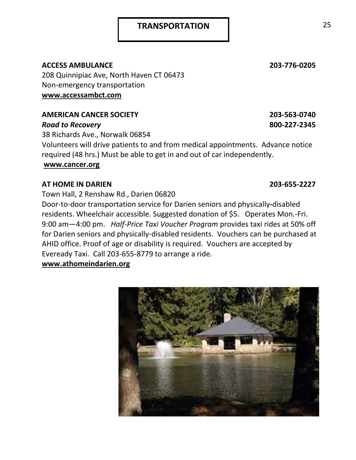#### **ACCESS AMBULANCE 203-776-0205**

208 Quinnipiac Ave, North Haven CT 06473 Non-emergency transportation **www.accessambct.com** 

### **AMERICAN CANCER SOCIETY 203-563-0740**

#### *Road to Recovery* **800-227-2345**

38 Richards Ave., Norwalk 06854 Volunteers will drive patients to and from medical appointments. Advance notice required (48 hrs.) Must be able to get in and out of car independently. **www.cancer.org**

#### **AT HOME IN DARIEN 203-655-2227**

Town Hall, 2 Renshaw Rd., Darien 06820

Door-to-door transportation service for Darien seniors and physically**-**disabled residents. Wheelchair accessible. Suggested donation of \$5. Operates Mon.-Fri. 9:00 am—4:00 pm. *Half-Price Taxi Voucher Program* provides taxi rides at 50% off for Darien seniors and physically-disabled residents. Vouchers can be purchased at AHID office. Proof of age or disability is required. Vouchers are accepted by Eveready Taxi. Call 203-655-8779 to arrange a ride.

**www.athomeindarien.org**

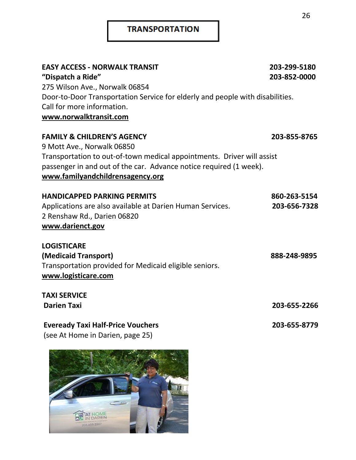### **TRANSPORTATION**

| <b>EASY ACCESS - NORWALK TRANSIT</b>                                                                        | 203-299-5180 |
|-------------------------------------------------------------------------------------------------------------|--------------|
| "Dispatch a Ride"                                                                                           | 203-852-0000 |
| 275 Wilson Ave., Norwalk 06854                                                                              |              |
| Door-to-Door Transportation Service for elderly and people with disabilities.<br>Call for more information. |              |
|                                                                                                             |              |
| www.norwalktransit.com                                                                                      |              |
| <b>FAMILY &amp; CHILDREN'S AGENCY</b>                                                                       | 203-855-8765 |
| 9 Mott Ave., Norwalk 06850                                                                                  |              |
| Transportation to out-of-town medical appointments. Driver will assist                                      |              |
| passenger in and out of the car. Advance notice required (1 week).                                          |              |
| www.familyandchildrensagency.org                                                                            |              |
| <b>HANDICAPPED PARKING PERMITS</b>                                                                          | 860-263-5154 |
| Applications are also available at Darien Human Services.                                                   | 203-656-7328 |
| 2 Renshaw Rd., Darien 06820                                                                                 |              |
| www.darienct.gov                                                                                            |              |
| <b>LOGISTICARE</b>                                                                                          |              |
| (Medicaid Transport)                                                                                        | 888-248-9895 |
| Transportation provided for Medicaid eligible seniors.                                                      |              |
| www.logisticare.com                                                                                         |              |
| <b>TAXI SERVICE</b>                                                                                         |              |
| <b>Darien Taxi</b>                                                                                          | 203-655-2266 |
| <b>Eveready Taxi Half-Price Vouchers</b>                                                                    | 203-655-8779 |
| (see At Home in Darien, page 25)                                                                            |              |
|                                                                                                             |              |

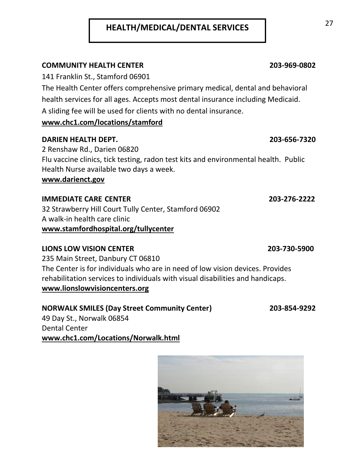## **HEALTH/MEDICAL/DENTAL SERVICES** 27

#### **COMMUNITY HEALTH CENTER 203-969-0802**

141 Franklin St., Stamford 06901

The Health Center offers comprehensive primary medical, dental and behavioral health services for all ages. Accepts most dental insurance including Medicaid. A sliding fee will be used for clients with no dental insurance.

### **www.chc1.com/locations/stamford**

#### **DARIEN HEALTH DEPT. 203-656-7320**

2 Renshaw Rd., Darien 06820 Flu vaccine clinics, tick testing, radon test kits and environmental health. Public Health Nurse available two days a week. **www.darienct.gov** 

#### **IMMEDIATE CARE CENTER 203-276-2222**

32 Strawberry Hill Court Tully Center, Stamford 06902 A walk-in health care clinic **[www.stamfordhospital.org/](http://www.stamfordhospital.org/)tullycenter**

#### **LIONS LOW VISION CENTER 203-730-5900**

235 Main Street, Danbury CT 06810 The Center is for individuals who are in need of low vision devices. Provides rehabilitation services to individuals with visual disabilities and handicaps. **www.lionslowvisioncenters.org**

#### **NORWALK SMILES (Day Street Community Center) 203-854-9292** 49 Day St., Norwalk 06854 Dental Center

**www.chc1.com/Locations/Norwalk.html**

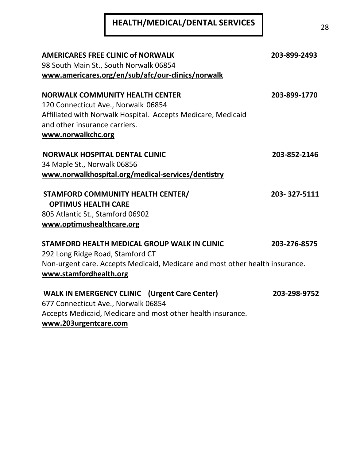# <sup>28</sup> **HEALTH/MEDICAL/DENTAL SERVICES**

| <b>AMERICARES FREE CLINIC of NORWALK</b><br>98 South Main St., South Norwalk 06854<br>www.americares.org/en/sub/afc/our-clinics/norwalk                                                              | 203-899-2493 |
|------------------------------------------------------------------------------------------------------------------------------------------------------------------------------------------------------|--------------|
| <b>NORWALK COMMUNITY HEALTH CENTER</b><br>120 Connecticut Ave., Norwalk 06854<br>Affiliated with Norwalk Hospital. Accepts Medicare, Medicaid<br>and other insurance carriers.<br>www.norwalkchc.org | 203-899-1770 |
| <b>NORWALK HOSPITAL DENTAL CLINIC</b><br>34 Maple St., Norwalk 06856<br>www.norwalkhospital.org/medical-services/dentistry                                                                           | 203-852-2146 |
| <b>STAMFORD COMMUNITY HEALTH CENTER/</b><br><b>OPTIMUS HEALTH CARE</b><br>805 Atlantic St., Stamford 06902<br>www.optimushealthcare.org                                                              | 203-327-5111 |
| STAMFORD HEALTH MEDICAL GROUP WALK IN CLINIC<br>292 Long Ridge Road, Stamford CT<br>Non-urgent care. Accepts Medicaid, Medicare and most other health insurance.<br>www.stamfordhealth.org           | 203-276-8575 |
| <b>WALK IN EMERGENCY CLINIC</b> (Urgent Care Center)<br>677 Connecticut Ave., Norwalk 06854<br>Accepts Medicaid, Medicare and most other health insurance.                                           | 203-298-9752 |

**www.203urgentcare.com**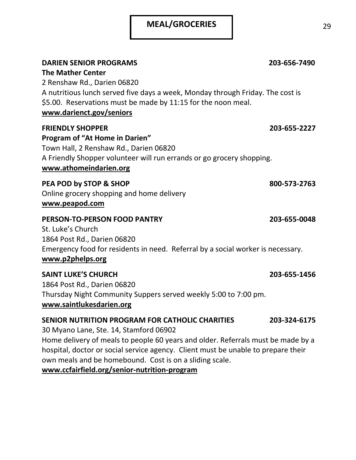## **MEAL/GROCERIES** 29

| <b>DARIEN SENIOR PROGRAMS</b><br><b>The Mather Center</b><br>2 Renshaw Rd., Darien 06820<br>A nutritious lunch served five days a week, Monday through Friday. The cost is<br>\$5.00. Reservations must be made by 11:15 for the noon meal.<br>www.darienct.gov/seniors                                                                                                       | 203-656-7490 |
|-------------------------------------------------------------------------------------------------------------------------------------------------------------------------------------------------------------------------------------------------------------------------------------------------------------------------------------------------------------------------------|--------------|
| <b>FRIENDLY SHOPPER</b><br>Program of "At Home in Darien"<br>Town Hall, 2 Renshaw Rd., Darien 06820<br>A Friendly Shopper volunteer will run errands or go grocery shopping.<br>www.athomeindarien.org                                                                                                                                                                        | 203-655-2227 |
| PEA POD by STOP & SHOP<br>Online grocery shopping and home delivery<br>www.peapod.com                                                                                                                                                                                                                                                                                         | 800-573-2763 |
| <b>PERSON-TO-PERSON FOOD PANTRY</b><br>St. Luke's Church<br>1864 Post Rd., Darien 06820<br>Emergency food for residents in need. Referral by a social worker is necessary.<br>www.p2phelps.org                                                                                                                                                                                | 203-655-0048 |
| <b>SAINT LUKE'S CHURCH</b><br>1864 Post Rd., Darien 06820<br>Thursday Night Community Suppers served weekly 5:00 to 7:00 pm.<br>www.saintlukesdarien.org                                                                                                                                                                                                                      | 203-655-1456 |
| SENIOR NUTRITION PROGRAM FOR CATHOLIC CHARITIES<br>30 Myano Lane, Ste. 14, Stamford 06902<br>Home delivery of meals to people 60 years and older. Referrals must be made by a<br>hospital, doctor or social service agency. Client must be unable to prepare their<br>own meals and be homebound. Cost is on a sliding scale.<br>www.ccfairfield.org/senior-nutrition-program | 203-324-6175 |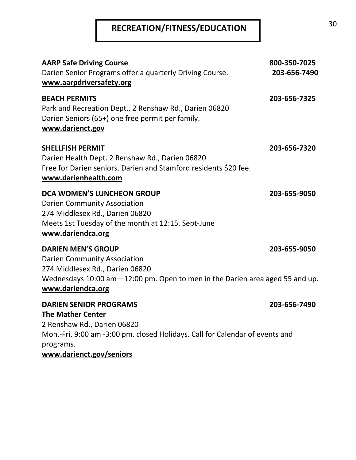# **RECREATION/FITNESS/EDUCATION** <sup>30</sup>

| <b>AARP Safe Driving Course</b><br>Darien Senior Programs offer a quarterly Driving Course.<br>www.aarpdriversafety.org                                                                                  | 800-350-7025<br>203-656-7490 |
|----------------------------------------------------------------------------------------------------------------------------------------------------------------------------------------------------------|------------------------------|
| <b>BEACH PERMITS</b><br>Park and Recreation Dept., 2 Renshaw Rd., Darien 06820<br>Darien Seniors (65+) one free permit per family.<br>www.darienct.gov                                                   | 203-656-7325                 |
| <b>SHELLFISH PERMIT</b><br>Darien Health Dept. 2 Renshaw Rd., Darien 06820<br>Free for Darien seniors. Darien and Stamford residents \$20 fee.<br>www.darienhealth.com                                   | 203-656-7320                 |
| <b>DCA WOMEN'S LUNCHEON GROUP</b><br><b>Darien Community Association</b><br>274 Middlesex Rd., Darien 06820<br>Meets 1st Tuesday of the month at 12:15. Sept-June<br>www.dariendca.org                   | 203-655-9050                 |
| <b>DARIEN MEN'S GROUP</b><br><b>Darien Community Association</b><br>274 Middlesex Rd., Darien 06820<br>Wednesdays 10:00 am-12:00 pm. Open to men in the Darien area aged 55 and up.<br>www.dariendca.org | 203-655-9050                 |
| <b>DARIEN SENIOR PROGRAMS</b><br><b>The Mather Center</b><br>2 Renshaw Rd., Darien 06820<br>Mon.-Fri. 9:00 am -3:00 pm. closed Holidays. Call for Calendar of events and                                 | 203-656-7490                 |
| programs.<br>www.darienct.gov/seniors                                                                                                                                                                    |                              |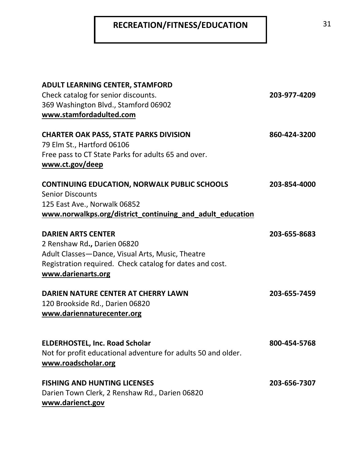## **RECREATION/FITNESS/EDUCATION** 31

| <b>ADULT LEARNING CENTER, STAMFORD</b><br>Check catalog for senior discounts.<br>369 Washington Blvd., Stamford 06902<br>www.stamfordadulted.com                                               | 203-977-4209 |
|------------------------------------------------------------------------------------------------------------------------------------------------------------------------------------------------|--------------|
| <b>CHARTER OAK PASS, STATE PARKS DIVISION</b><br>79 Elm St., Hartford 06106<br>Free pass to CT State Parks for adults 65 and over.<br>www.ct.gov/deep                                          | 860-424-3200 |
| <b>CONTINUING EDUCATION, NORWALK PUBLIC SCHOOLS</b><br><b>Senior Discounts</b><br>125 East Ave., Norwalk 06852<br>www.norwalkps.org/district_continuing_and_adult_education                    | 203-854-4000 |
| <b>DARIEN ARTS CENTER</b><br>2 Renshaw Rd., Darien 06820<br>Adult Classes-Dance, Visual Arts, Music, Theatre<br>Registration required. Check catalog for dates and cost.<br>www.darienarts.org | 203-655-8683 |
| DARIEN NATURE CENTER AT CHERRY LAWN<br>120 Brookside Rd., Darien 06820<br>www.dariennaturecenter.org                                                                                           | 203-655-7459 |
| <b>ELDERHOSTEL, Inc. Road Scholar</b><br>Not for profit educational adventure for adults 50 and older.<br>www.roadscholar.org                                                                  | 800-454-5768 |
| <b>FISHING AND HUNTING LICENSES</b><br>Darien Town Clerk, 2 Renshaw Rd., Darien 06820<br>www.darienct.gov                                                                                      | 203-656-7307 |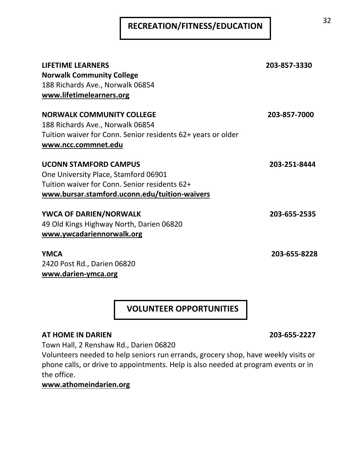# <sup>32</sup> **RECREATION/FITNESS/EDUCATION**

| <b>LIFETIME LEARNERS</b><br><b>Norwalk Community College</b><br>188 Richards Ave., Norwalk 06854<br>www.lifetimelearners.org                                           | 203-857-3330 |
|------------------------------------------------------------------------------------------------------------------------------------------------------------------------|--------------|
| <b>NORWALK COMMUNITY COLLEGE</b><br>188 Richards Ave., Norwalk 06854                                                                                                   | 203-857-7000 |
| Tuition waiver for Conn. Senior residents 62+ years or older<br>www.ncc.commnet.edu                                                                                    |              |
| <b>UCONN STAMFORD CAMPUS</b><br>One University Place, Stamford 06901<br>Tuition waiver for Conn. Senior residents 62+<br>www.bursar.stamford.uconn.edu/tuition-waivers | 203-251-8444 |
| YWCA OF DARIEN/NORWALK<br>49 Old Kings Highway North, Darien 06820<br>www.ywcadariennorwalk.org                                                                        | 203-655-2535 |
| <b>YMCA</b><br>2420 Post Rd., Darien 06820<br>www.darien-ymca.org                                                                                                      | 203-655-8228 |

 **VOLUNTEER OPPORTUNITIES**

#### **AT HOME IN DARIEN 203-655-2227**

Town Hall, 2 Renshaw Rd., Darien 06820

Volunteers needed to help seniors run errands, grocery shop, have weekly visits or phone calls, or drive to appointments. Help is also needed at program events or in the office.

### **www.athomeindarien.org**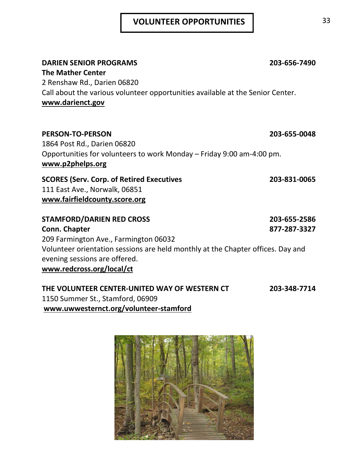## **VOLUNTEER OPPORTUNITIES** 33

| <b>DARIEN SENIOR PROGRAMS</b><br><b>The Mather Center</b><br>2 Renshaw Rd., Darien 06820<br>Call about the various volunteer opportunities available at the Senior Center.<br>www.darienct.gov                                              | 203-656-7490                 |
|---------------------------------------------------------------------------------------------------------------------------------------------------------------------------------------------------------------------------------------------|------------------------------|
| <b>PERSON-TO-PERSON</b><br>1864 Post Rd., Darien 06820<br>Opportunities for volunteers to work Monday – Friday 9:00 am-4:00 pm.<br>www.p2phelps.org                                                                                         | 203-655-0048                 |
| <b>SCORES (Serv. Corp. of Retired Executives</b><br>111 East Ave., Norwalk, 06851<br>www.fairfieldcounty.score.org                                                                                                                          | 203-831-0065                 |
| <b>STAMFORD/DARIEN RED CROSS</b><br>Conn. Chapter<br>209 Farmington Ave., Farmington 06032<br>Volunteer orientation sessions are held monthly at the Chapter offices. Day and<br>evening sessions are offered.<br>www.redcross.org/local/ct | 203-655-2586<br>877-287-3327 |
| THE VOLUNTEER CENTER-UNITED WAY OF WESTERN CT                                                                                                                                                                                               | 203-348-7714                 |

1150 Summer St., Stamford, 06909 **www.uwwesternct.org/volunteer-stamford**

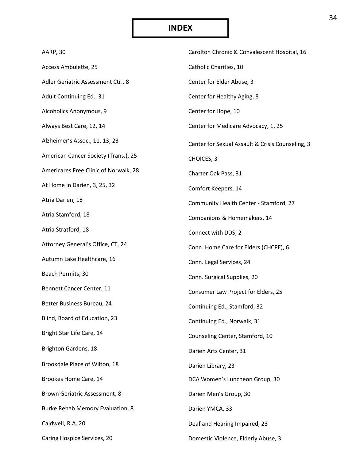## **INDEX**

| AARP, 30                              | Carolton Chronic & Convalescent Hospital, 16     |
|---------------------------------------|--------------------------------------------------|
| Access Ambulette, 25                  | Catholic Charities, 10                           |
| Adler Geriatric Assessment Ctr., 8    | Center for Elder Abuse, 3                        |
| Adult Continuing Ed., 31              | Center for Healthy Aging, 8                      |
| Alcoholics Anonymous, 9               | Center for Hope, 10                              |
| Always Best Care, 12, 14              | Center for Medicare Advocacy, 1, 25              |
| Alzheimer's Assoc., 11, 13, 23        | Center for Sexual Assault & Crisis Counseling, 3 |
| American Cancer Society (Trans.), 25  | CHOICES, 3                                       |
| Americares Free Clinic of Norwalk, 28 | Charter Oak Pass, 31                             |
| At Home in Darien, 3, 25, 32          | Comfort Keepers, 14                              |
| Atria Darien, 18                      | Community Health Center - Stamford, 27           |
| Atria Stamford, 18                    | Companions & Homemakers, 14                      |
| Atria Stratford, 18                   | Connect with DDS, 2                              |
| Attorney General's Office, CT, 24     | Conn. Home Care for Elders (CHCPE), 6            |
| Autumn Lake Healthcare, 16            | Conn. Legal Services, 24                         |
| Beach Permits, 30                     | Conn. Surgical Supplies, 20                      |
| Bennett Cancer Center, 11             | Consumer Law Project for Elders, 25              |
| Better Business Bureau, 24            | Continuing Ed., Stamford, 32                     |
| Blind, Board of Education, 23         | Continuing Ed., Norwalk, 31                      |
| Bright Star Life Care, 14             | Counseling Center, Stamford, 10                  |
| <b>Brighton Gardens, 18</b>           | Darien Arts Center, 31                           |
| Brookdale Place of Wilton, 18         | Darien Library, 23                               |
| Brookes Home Care, 14                 | DCA Women's Luncheon Group, 30                   |
| Brown Geriatric Assessment, 8         | Darien Men's Group, 30                           |
| Burke Rehab Memory Evaluation, 8      | Darien YMCA, 33                                  |
| Caldwell, R.A. 20                     | Deaf and Hearing Impaired, 23                    |
| Caring Hospice Services, 20           | Domestic Violence, Elderly Abuse, 3              |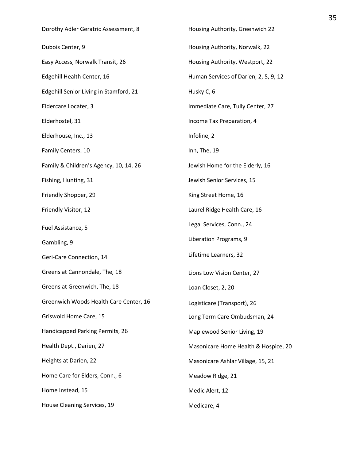| Dorothy Adler Geratric Assessment, 8   | Housing Authority, Greenwich 22       |
|----------------------------------------|---------------------------------------|
| Dubois Center, 9                       | Housing Authority, Norwalk, 22        |
| Easy Access, Norwalk Transit, 26       | Housing Authority, Westport, 22       |
| Edgehill Health Center, 16             | Human Services of Darien, 2, 5, 9, 12 |
| Edgehill Senior Living in Stamford, 21 | Husky C, 6                            |
| Eldercare Locater, 3                   | Immediate Care, Tully Center, 27      |
| Elderhostel, 31                        | Income Tax Preparation, 4             |
| Elderhouse, Inc., 13                   | Infoline, 2                           |
| Family Centers, 10                     | Inn, The, 19                          |
| Family & Children's Agency, 10, 14, 26 | Jewish Home for the Elderly, 16       |
| Fishing, Hunting, 31                   | Jewish Senior Services, 15            |
| Friendly Shopper, 29                   | King Street Home, 16                  |
| Friendly Visitor, 12                   | Laurel Ridge Health Care, 16          |
| Fuel Assistance, 5                     | Legal Services, Conn., 24             |
| Gambling, 9                            | Liberation Programs, 9                |
| Geri-Care Connection, 14               | Lifetime Learners, 32                 |
| Greens at Cannondale, The, 18          | Lions Low Vision Center, 27           |
| Greens at Greenwich, The, 18           | Loan Closet, 2, 20                    |
| Greenwich Woods Health Care Center, 16 | Logisticare (Transport), 26           |
| Griswold Home Care, 15                 | Long Term Care Ombudsman, 24          |
| Handicapped Parking Permits, 26        | Maplewood Senior Living, 19           |
| Health Dept., Darien, 27               | Masonicare Home Health & Hospice, 20  |
| Heights at Darien, 22                  | Masonicare Ashlar Village, 15, 21     |
| Home Care for Elders, Conn., 6         | Meadow Ridge, 21                      |
| Home Instead, 15                       | Medic Alert, 12                       |
| House Cleaning Services, 19            | Medicare, 4                           |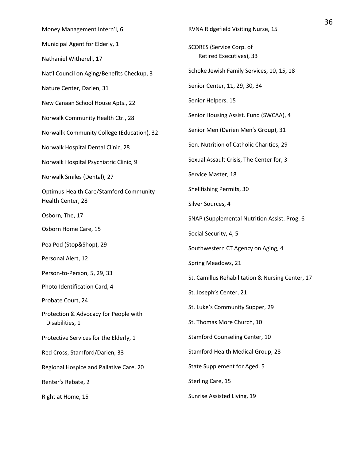| Money Management Intern'l, 6                             | RVNA Ridgefield Visiting Nurse, 15                         |  |
|----------------------------------------------------------|------------------------------------------------------------|--|
| Municipal Agent for Elderly, 1                           | <b>SCORES</b> (Service Corp. of<br>Retired Executives), 33 |  |
| Nathaniel Witherell, 17                                  |                                                            |  |
| Nat'l Council on Aging/Benefits Checkup, 3               | Schoke Jewish Family Services, 10, 15, 18                  |  |
| Nature Center, Darien, 31                                | Senior Center, 11, 29, 30, 34                              |  |
| New Canaan School House Apts., 22                        | Senior Helpers, 15                                         |  |
| Norwalk Community Health Ctr., 28                        | Senior Housing Assist. Fund (SWCAA), 4                     |  |
| Norwallk Community College (Education), 32               | Senior Men (Darien Men's Group), 31                        |  |
| Norwalk Hospital Dental Clinic, 28                       | Sen. Nutrition of Catholic Charities, 29                   |  |
| Norwalk Hospital Psychiatric Clinic, 9                   | Sexual Assault Crisis, The Center for, 3                   |  |
| Norwalk Smiles (Dental), 27                              | Service Master, 18                                         |  |
| <b>Optimus-Health Care/Stamford Community</b>            | Shellfishing Permits, 30                                   |  |
| Health Center, 28                                        | Silver Sources, 4                                          |  |
| Osborn, The, 17                                          | SNAP (Supplemental Nutrition Assist. Prog. 6               |  |
| Osborn Home Care, 15                                     | Social Security, 4, 5                                      |  |
| Pea Pod (Stop&Shop), 29                                  | Southwestern CT Agency on Aging, 4                         |  |
| Personal Alert, 12                                       | Spring Meadows, 21                                         |  |
| Person-to-Person, 5, 29, 33                              | St. Camillus Rehabilitation & Nursing Center, 17           |  |
| Photo Identification Card, 4                             | St. Joseph's Center, 21                                    |  |
| Probate Court, 24                                        | St. Luke's Community Supper, 29                            |  |
| Protection & Advocacy for People with<br>Disabilities, 1 | St. Thomas More Church, 10                                 |  |
| Protective Services for the Elderly, 1                   | Stamford Counseling Center, 10                             |  |
| Red Cross, Stamford/Darien, 33                           | Stamford Health Medical Group, 28                          |  |
| Regional Hospice and Pallative Care, 20                  | State Supplement for Aged, 5                               |  |
| Renter's Rebate, 2                                       | Sterling Care, 15                                          |  |
| Right at Home, 15                                        | Sunrise Assisted Living, 19                                |  |
|                                                          |                                                            |  |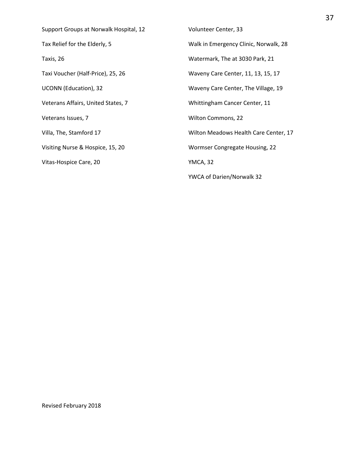| Support Groups at Norwalk Hospital, 12 | Volunteer Center, 33                  |
|----------------------------------------|---------------------------------------|
| Tax Relief for the Elderly, 5          | Walk in Emergency Clinic, Norwalk, 28 |
| Taxis, 26                              | Watermark, The at 3030 Park, 21       |
| Taxi Voucher (Half-Price), 25, 26      | Waveny Care Center, 11, 13, 15, 17    |
| <b>UCONN</b> (Education), 32           | Waveny Care Center, The Village, 19   |
| Veterans Affairs, United States, 7     | Whittingham Cancer Center, 11         |
| Veterans Issues, 7                     | Wilton Commons, 22                    |
| Villa, The, Stamford 17                | Wilton Meadows Health Care Center, 17 |
| Visiting Nurse & Hospice, 15, 20       | Wormser Congregate Housing, 22        |
| Vitas-Hospice Care, 20                 | YMCA, 32                              |
|                                        | YWCA of Darien/Norwalk 32             |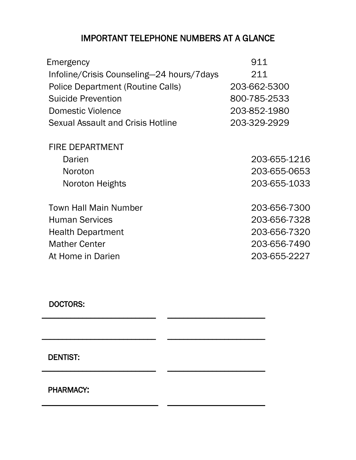## IMPORTANT TELEPHONE NUMBERS AT A GLANCE

| Emergency                                 | 911          |
|-------------------------------------------|--------------|
| Infoline/Crisis Counseling-24 hours/7days | 211          |
| Police Department (Routine Calls)         | 203-662-5300 |
| <b>Suicide Prevention</b>                 | 800-785-2533 |
| Domestic Violence                         | 203-852-1980 |
| Sexual Assault and Crisis Hotline         | 203-329-2929 |
| <b>FIRE DEPARTMENT</b>                    |              |
| Darien                                    | 203-655-1216 |
| Noroton                                   | 203-655-0653 |
| Noroton Heights                           | 203-655-1033 |
| <b>Town Hall Main Number</b>              | 203-656-7300 |
| <b>Human Services</b>                     | 203-656-7328 |
| <b>Health Department</b>                  | 203-656-7320 |
| <b>Mather Center</b>                      | 203-656-7490 |
| At Home in Darien                         | 203-655-2227 |
|                                           |              |

 $\overline{\phantom{a}}$  , and the contribution of the contribution of  $\overline{\phantom{a}}$  , and  $\overline{\phantom{a}}$  , and  $\overline{\phantom{a}}$  , and  $\overline{\phantom{a}}$  , and  $\overline{\phantom{a}}$  , and  $\overline{\phantom{a}}$  , and  $\overline{\phantom{a}}$  , and  $\overline{\phantom{a}}$  , and  $\overline{\phantom{a}}$  , and

\_\_\_\_\_\_\_\_\_\_\_\_\_\_\_\_\_\_\_\_\_\_\_\_\_\_\_\_ \_\_\_\_\_\_\_\_\_\_\_\_\_\_\_\_\_\_\_\_\_\_\_\_

\_\_\_\_\_\_\_\_\_\_\_\_\_\_\_\_\_\_\_\_\_\_\_\_\_\_\_\_ \_\_\_\_\_\_\_\_\_\_\_\_\_\_\_\_\_\_\_\_\_\_\_\_

 $\overline{\phantom{a}}$  , and the contract of the contract of the contract of the contract of the contract of the contract of the contract of the contract of the contract of the contract of the contract of the contract of the contrac

## DOCTORS:

DENTIST:

PHARMACY: